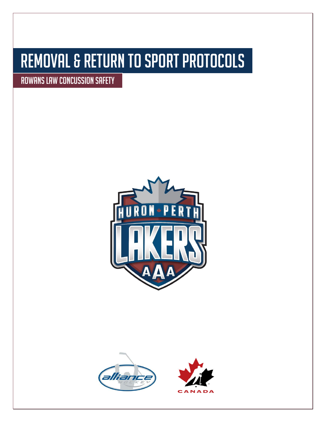# Removal & Return to Sport Protocols

Rowans Law Concussion Safety



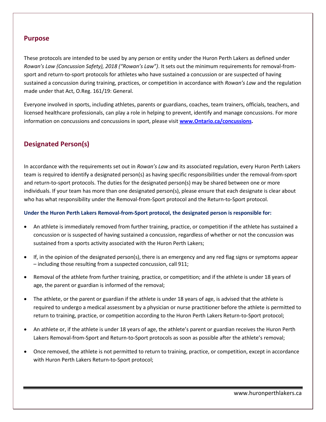#### **Purpose**

These protocols are intended to be used by any person or entity under the Huron Perth Lakers as defined under *Rowan's Law (Concussion Safety), 2018 ("Rowan's Law")*. It sets out the minimum requirements for removal-fromsport and return-to-sport protocols for athletes who have sustained a concussion or are suspected of having sustained a concussion during training, practices, or competition in accordance with *Rowan's Law* and the regulation made under that Act, O.Reg. 161/19: General.

Everyone involved in sports, including athletes, parents or guardians, coaches, team trainers, officials, teachers, and licensed healthcare professionals, can play a role in helping to prevent, identify and manage concussions. For more information on concussions and concussions in sport, please visit **[www.Ontario.ca/concussions.](http://www.ontario.ca/concussions)**

# **Designated Person(s)**

In accordance with the requirements set out in *Rowan's Law* and its associated regulation, every Huron Perth Lakers team is required to identify a designated person(s) as having specific responsibilities under the removal-from-sport and return-to-sport protocols. The duties for the designated person(s) may be shared between one or more individuals. If your team has more than one designated person(s), please ensure that each designate is clear about who has what responsibility under the Removal-from-Sport protocol and the Return-to-Sport protocol.

#### **Under the Huron Perth Lakers Removal-from-Sport protocol, the designated person is responsible for:**

- An athlete is immediately removed from further training, practice, or competition if the athlete has sustained a concussion or is suspected of having sustained a concussion, regardless of whether or not the concussion was sustained from a sports activity associated with the Huron Perth Lakers;
- If, in the opinion of the designated person(s), there is an emergency and any red flag signs or symptoms appear – including those resulting from a suspected concussion, call 911;
- Removal of the athlete from further training, practice, or competition; and if the athlete is under 18 years of age, the parent or guardian is informed of the removal;
- The athlete, or the parent or guardian if the athlete is under 18 years of age, is advised that the athlete is required to undergo a medical assessment by a physician or nurse practitioner before the athlete is permitted to return to training, practice, or competition according to the Huron Perth Lakers Return-to-Sport protocol;
- An athlete or, if the athlete is under 18 years of age, the athlete's parent or guardian receives the Huron Perth Lakers Removal-from-Sport and Return-to-Sport protocols as soon as possible after the athlete's removal;
- Once removed, the athlete is not permitted to return to training, practice, or competition, except in accordance with Huron Perth Lakers Return-to-Sport protocol;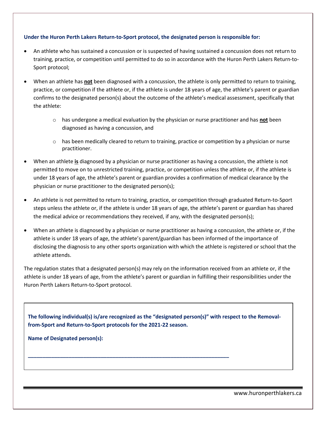#### **Under the Huron Perth Lakers Return-to-Sport protocol, the designated person is responsible for:**

- An athlete who has sustained a concussion or is suspected of having sustained a concussion does not return to training, practice, or competition until permitted to do so in accordance with the Huron Perth Lakers Return-to-Sport protocol;
- When an athlete has **not** been diagnosed with a concussion, the athlete is only permitted to return to training, practice, or competition if the athlete or, if the athlete is under 18 years of age, the athlete's parent or guardian confirms to the designated person(s) about the outcome of the athlete's medical assessment, specifically that the athlete:
	- o has undergone a medical evaluation by the physician or nurse practitioner and has **not** been diagnosed as having a concussion, and
	- $\circ$  has been medically cleared to return to training, practice or competition by a physician or nurse practitioner.
- When an athlete **is** diagnosed by a physician or nurse practitioner as having a concussion, the athlete is not permitted to move on to unrestricted training, practice, or competition unless the athlete or, if the athlete is under 18 years of age, the athlete's parent or guardian provides a confirmation of medical clearance by the physician or nurse practitioner to the designated person(s);
- An athlete is not permitted to return to training, practice, or competition through graduated Return-to-Sport steps unless the athlete or, if the athlete is under 18 years of age, the athlete's parent or guardian has shared the medical advice or recommendations they received, if any, with the designated person(s);
- When an athlete is diagnosed by a physician or nurse practitioner as having a concussion, the athlete or, if the athlete is under 18 years of age, the athlete's parent/guardian has been informed of the importance of disclosing the diagnosis to any other sports organization with which the athlete is registered or school that the athlete attends.

The regulation states that a designated person(s) may rely on the information received from an athlete or, if the athlete is under 18 years of age, from the athlete's parent or guardian in fulfilling their responsibilities under the Huron Perth Lakers Return-to-Sport protocol.

**The following individual(s) is/are recognized as the "designated person(s)" with respect to the Removalfrom-Sport and Return-to-Sport protocols for the 2021-22 season.**

**\_\_\_\_\_\_\_\_\_\_\_\_\_\_\_\_\_\_\_\_\_\_\_\_\_\_\_\_\_\_\_\_\_\_\_\_\_\_\_\_\_\_\_\_\_\_\_\_\_\_\_\_\_\_\_\_\_\_\_\_\_\_\_\_\_\_\_\_\_**

**Name of Designated person(s):**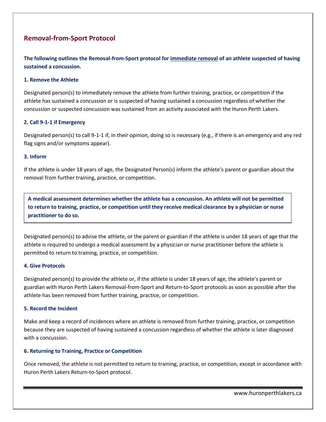### **Removal-from-Sport Protocol**

**The following outlines the Removal-from-Sport protocol for immediate removal of an athlete suspected of having sustained a concussion.**

#### **1. Remove the Athlete**

Designated person(s) to immediately remove the athlete from further training, practice, or competition if the athlete has sustained a concussion or is suspected of having sustained a concussion regardless of whether the concussion or suspected concussion was sustained from an activity associated with the Huron Perth Lakers.

#### **2. Call 9-1-1 if Emergency**

Designated person(s) to call 9-1-1 if, in their opinion, doing so is necessary (e.g., if there is an emergency and any red flag signs and/or symptoms appear).

#### **3. Inform**

If the athlete is under 18 years of age, the Designated Person(s) inform the athlete's parent or guardian about the removal from further training, practice, or competition.

**A medical assessment determines whether the athlete has a concussion. An athlete will not be permitted to return to training, practice, or competition until they receive medical clearance by a physician or nurse practitioner to do so.** 

Designated person(s) to advise the athlete, or the parent or guardian if the athlete is under 18 years of age that the athlete is required to undergo a medical assessment by a physician or nurse practitioner before the athlete is permitted to return to training, practice, or competition.

#### **4. Give Protocols**

Designated person(s) to provide the athlete or, if the athlete is under 18 years of age, the athlete's parent or guardian with Huron Perth Lakers Removal-from-Sport and Return-to-Sport protocols as soon as possible after the athlete has been removed from further training, practice, or competition.

#### **5. Record the Incident**

Make and keep a record of incidences where an athlete is removed from further training, practice, or competition because they are suspected of having sustained a concussion regardless of whether the athlete is later diagnosed with a concussion.

#### **6. Returning to Training, Practice or Competition**

Once removed, the athlete is not permitted to return to training, practice, or competition, except in accordance with Huron Perth Lakers Return-to-Sport protocol.

www.huronperthlakers.ca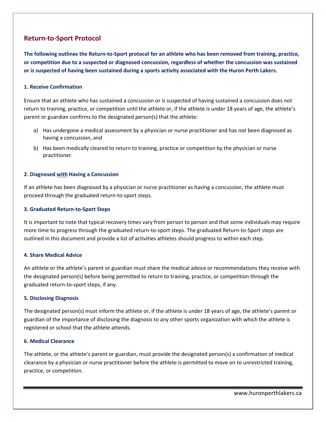## **Return-to-Sport Protocol**

**The following outlines the Return-to-Sport protocol for an athlete who has been removed from training, practice, or competition due to a suspected or diagnosed concussion, regardless of whether the concussion was sustained or is suspected of having been sustained during a sports activity associated with the Huron Perth Lakers.**

#### **1. Receive Confirmation**

Ensure that an athlete who has sustained a concussion or is suspected of having sustained a concussion does not return to training, practice, or competition until the athlete or, if the athlete is under 18 years of age, the athlete's parent or guardian confirms to the designated person(s) that the athlete:

- a) Has undergone a medical assessment by a physician or nurse practitioner and has not been diagnosed as having a concussion, and
- b) Has been medically cleared to return to training, practice or competition by the physician or nurse practitioner.

#### **2. Diagnosed with Having a Concussion**

If an athlete has been diagnosed by a physician or nurse practitioner as having a concussion, the athlete must proceed through the graduated return-to-sport steps.

#### **3. Graduated Return-to-Sport Steps**

It is important to note that typical recovery times vary from person to person and that some individuals may require more time to progress through the graduated return-to-sport steps. The graduated Return-to-Sport steps are outlined in this document and provide a list of activities athletes should progress to within each step.

#### **4. Share Medical Advice**

An athlete or the athlete's parent or guardian must share the medical advice or recommendations they receive with the designated person(s) before being permitted to return to training, practice, or competition through the graduated return-to-sport steps, if any.

#### **5. Disclosing Diagnosis**

The designated person(s) must inform the athlete or, if the athlete is under 18 years of age, the athlete's parent or guardian of the importance of disclosing the diagnosis to any other sports organization with which the athlete is registered or school that the athlete attends.

#### **6. Medical Clearance**

The athlete, or the athlete's parent or guardian, must provide the designated person(s) a confirmation of medical clearance by a physician or nurse practitioner before the athlete is permitted to move on to unrestricted training, practice, or competition.